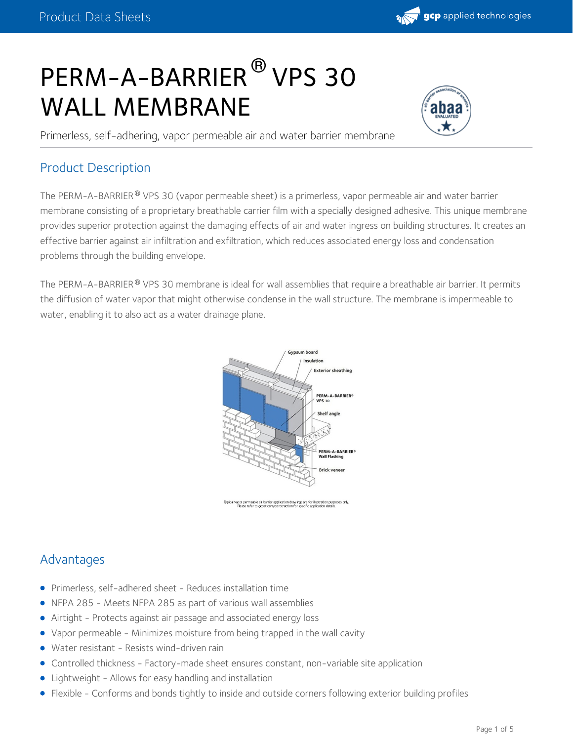

# PERM-A-BARRIER<sup>®</sup> VPS 30 WALL MEMBRANE



Primerless, self-adhering, vapor permeable air and water barrier membrane

## Product Description

The PERM-A-BARRIER® VPS 30 (vapor permeable sheet) is a primerless, vapor permeable air and water barrier membrane consisting of a proprietary breathable carrier film with a specially designed adhesive. This unique membrane provides superior protection against the damaging effects of air and water ingress on building structures. It creates an effective barrier against air infiltration and exfiltration, which reduces associated energy loss and condensation problems through the building envelope.

The PERM-A-BARRIER® VPS 30 membrane is ideal for wall assemblies that require a breathable air barrier. It permits the diffusion of water vapor that might otherwise condense in the wall structure. The membrane is impermeable to water, enabling it to also act as a water drainage plane.



.<br>por permeable air barrier application drawings are for illustration purposes only<br>Please refer to gcpat.com/construction for specific application details.

## Advantages

- Primerless, self-adhered sheet Reduces installation time
- NFPA 285 Meets NFPA 285 as part of various wall assemblies  $\bullet$
- Airtight Protects against air passage and associated energy loss
- Vapor permeable Minimizes moisture from being trapped in the wall cavity
- Water resistant Resists wind-driven rain
- Controlled thickness Factory-made sheet ensures constant, non-variable site application
- Lightweight Allows for easy handling and installation
- Flexible Conforms and bonds tightly to inside and outside corners following exterior building profiles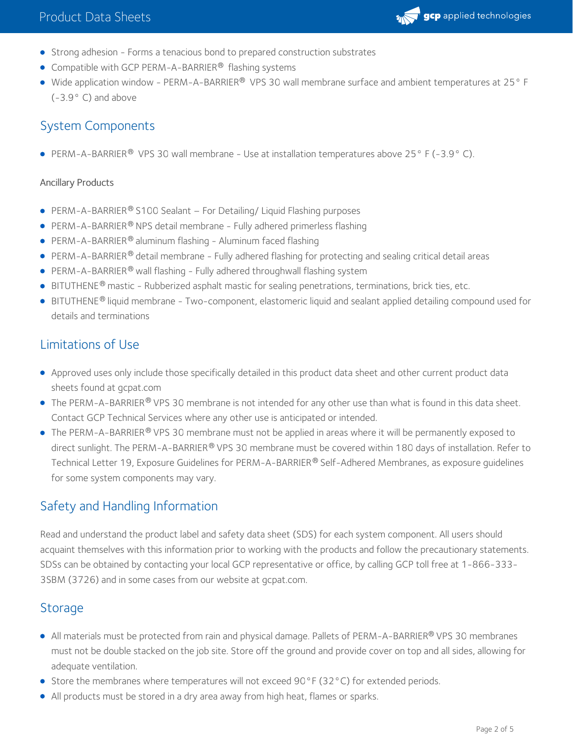

- Strong adhesion Forms a tenacious bond to prepared construction substrates
- Compatible with GCP PERM-A-BARRIER<sup>®</sup> flashing systems
- Wide application window PERM-A-BARRIER® VPS 30 wall membrane surface and ambient temperatures at 25° F (-3.9° C) and above

# System Components

**PERM-A-BARRIER<sup>®</sup> VPS 30 wall membrane - Use at installation temperatures above 25° F (-3.9° C).** 

#### Ancillary Products

- **PERM-A-BARRIER<sup>®</sup> S100 Sealant For Detailing/ Liquid Flashing purposes**
- PERM-A-BARRIER® NPS detail membrane Fully adhered primerless flashing
- PERM-A-BARRIER® aluminum flashing Aluminum faced flashing
- PERM-A-BARRIER® detail membrane Fully adhered flashing for protecting and sealing critical detail areas
- PERM-A-BARRIER ® wall flashing Fully adhered throughwall flashing system
- $\bullet$  BITUTHENE ® mastic Rubberized asphalt mastic for sealing penetrations, terminations, brick ties, etc.
- BITUTHENE® liquid membrane Two-component, elastomeric liquid and sealant applied detailing compound used for details and terminations

# Limitations of Use

- Approved uses only include those specifically detailed in this product data sheet and other current product data sheets found at gcpat.com
- The PERM-A-BARRIER $^{\circledR}$  VPS 30 membrane is not intended for any other use than what is found in this data sheet. Contact GCP Technical Services where any other use is anticipated or intended.
- The PERM-A-BARRIER® VPS 30 membrane must not be applied in areas where it will be permanently exposed to direct sunlight. The PERM-A-BARRIER® VPS 30 membrane must be covered within 180 days of installation. Refer to Technical Letter 19, Exposure Guidelines for PERM-A-BARRIER® Self-Adhered Membranes, as exposure guidelines for some system components may vary.

# Safety and Handling Information

Read and understand the product label and safety data sheet (SDS) for each system component. All users should acquaint themselves with this information prior to working with the products and follow the precautionary statements. SDSs can be obtained by contacting your local GCP representative or office, by calling GCP toll free at 1-866-333- 3SBM (3726) and in some cases from our website at gcpat.com.

## **Storage**

- All materials must be protected from rain and physical damage. Pallets of PERM-A-BARRIER® VPS 30 membranes must not be double stacked on the job site. Store off the ground and provide cover on top and all sides, allowing for adequate ventilation.
- Store the membranes where temperatures will not exceed 90 $\degree$ F (32 $\degree$ C) for extended periods.
- All products must be stored in a dry area away from high heat, flames or sparks.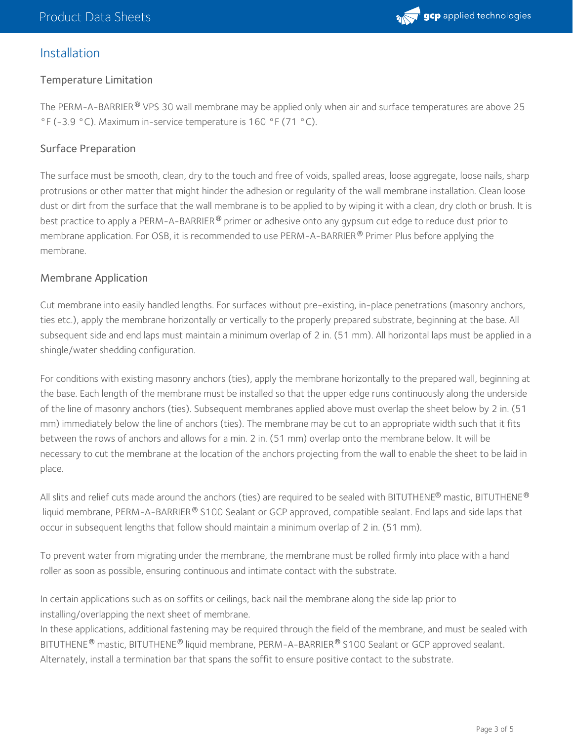### Installation

#### Temperature Limitation

The PERM-A-BARRIER® VPS 30 wall membrane may be applied only when air and surface temperatures are above 25 °F (-3.9 °C). Maximum in-service temperature is 160 °F (71 °C).

#### Surface Preparation

The surface must be smooth, clean, dry to the touch and free of voids, spalled areas, loose aggregate, loose nails, sharp protrusions or other matter that might hinder the adhesion or regularity of the wall membrane installation. Clean loose dust or dirt from the surface that the wall membrane is to be applied to by wiping it with a clean, dry cloth or brush. It is best practice to apply a PERM-A-BARRIER  $^\circledast$  primer or adhesive onto any gypsum cut edge to reduce dust prior to membrane application. For OSB, it is recommended to use PERM-A-BARRIER  $^\circledR$  Primer Plus before applying the membrane.

#### Membrane Application

Cut membrane into easily handled lengths. For surfaces without pre-existing, in-place penetrations (masonry anchors, ties etc.), apply the membrane horizontally or vertically to the properly prepared substrate, beginning at the base. All subsequent side and end laps must maintain a minimum overlap of 2 in. (51 mm). All horizontal laps must be applied in a shingle/water shedding configuration.

For conditions with existing masonry anchors (ties), apply the membrane horizontally to the prepared wall, beginning at the base. Each length of the membrane must be installed so that the upper edge runs continuously along the underside of the line of masonry anchors (ties). Subsequent membranes applied above must overlap the sheet below by 2 in. (51 mm) immediately below the line of anchors (ties). The membrane may be cut to an appropriate width such that it fits between the rows of anchors and allows for a min. 2 in. (51 mm) overlap onto the membrane below. It will be necessary to cut the membrane at the location of the anchors projecting from the wall to enable the sheet to be laid in place.

All slits and relief cuts made around the anchors (ties) are required to be sealed with BITUTHENE® mastic, BITUTHENE® liquid membrane, PERM-A-BARRIER $^\circledast$  S100 Sealant or GCP approved, compatible sealant. End laps and side laps that occur in subsequent lengths that follow should maintain a minimum overlap of 2 in. (51 mm).

To prevent water from migrating under the membrane, the membrane must be rolled firmly into place with a hand roller as soon as possible, ensuring continuous and intimate contact with the substrate.

In certain applications such as on soffits or ceilings, back nail the membrane along the side lap prior to installing/overlapping the next sheet of membrane.

In these applications, additional fastening may be required through the field of the membrane, and must be sealed with BITUTHENE  $^\circledR$  mastic, BITUTHENE  $^\circledR$  liquid membrane, PERM-A-BARRIER  $^\circledR$  S100 Sealant or GCP approved sealant. Alternately, install a termination bar that spans the soffit to ensure positive contact to the substrate.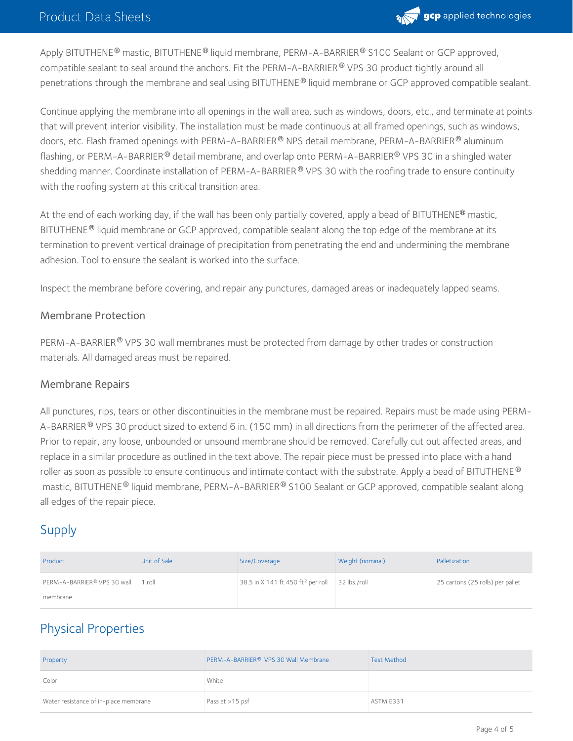

Apply BITUTHENE® mastic, BITUTHENE® liquid membrane, PERM-A-BARRIER® S100 Sealant or GCP approved, compatible sealant to seal around the anchors. Fit the PERM-A-BARRIER® VPS 30 product tightly around all penetrations through the membrane and seal using BITUTHENE® liquid membrane or GCP approved compatible sealant.

Continue applying the membrane into all openings in the wall area, such as windows, doors, etc., and terminate at points that will prevent interior visibility. The installation must be made continuous at all framed openings, such as windows, doors, etc. Flash framed openings with PERM-A-BARRIER  $^\circledR$  NPS detail membrane, PERM-A-BARRIER  $^\circledR$  aluminum flashing, or PERM-A-BARRIER  $^\circledast$  detail membrane, and overlap onto PERM-A-BARRIER  $^\circledast$  VPS 30 in a shingled water shedding manner. Coordinate installation of PERM-A-BARRIER® VPS 30 with the roofing trade to ensure continuity with the roofing system at this critical transition area.

At the end of each working day, if the wall has been only partially covered, apply a bead of BITUTHENE® mastic, BITUTHENE  $^{\circledR}$  liquid membrane or GCP approved, compatible sealant along the top edge of the membrane at its termination to prevent vertical drainage of precipitation from penetrating the end and undermining the membrane adhesion. Tool to ensure the sealant is worked into the surface.

Inspect the membrane before covering, and repair any punctures, damaged areas or inadequately lapped seams.

#### Membrane Protection

PERM-A-BARRIER® VPS 30 wall membranes must be protected from damage by other trades or construction materials. All damaged areas must be repaired.

#### Membrane Repairs

All punctures, rips, tears or other discontinuities in the membrane must be repaired. Repairs must be made using PERM- A-BARRIER  $^\circ$  VPS 30 product sized to extend 6 in. (150 mm) in all directions from the perimeter of the affected area. Prior to repair, any loose, unbounded or unsound membrane should be removed. Carefully cut out affected areas, and replace in a similar procedure as outlined in the text above. The repair piece must be pressed into place with a hand roller as soon as possible to ensure continuous and intimate contact with the substrate. Apply a bead of BITUTHENE  $^\circledR$ mastic, BITUTHENE® liquid membrane, PERM-A-BARRIER® S100 Sealant or GCP approved, compatible sealant along all edges of the repair piece.

## Supply

| Product                            | Unit of Sale | Size/Coverage                                 | Weight (nominal) | Palletization                    |
|------------------------------------|--------------|-----------------------------------------------|------------------|----------------------------------|
| PERM-A-BARRIER® VPS 30 wall 1 roll |              | 38.5 in X 141 ft 450 ft <sup>2</sup> per roll | 32 lbs./roll     | 25 cartons (25 rolls) per pallet |
| membrane                           |              |                                               |                  |                                  |

# Physical Properties

| Property                              | PERM-A-BARRIER® VPS 30 Wall Membrane | <b>Test Method</b> |
|---------------------------------------|--------------------------------------|--------------------|
| Color                                 | White                                |                    |
| Water resistance of in-place membrane | Pass at >15 psf                      | ASTM E331          |